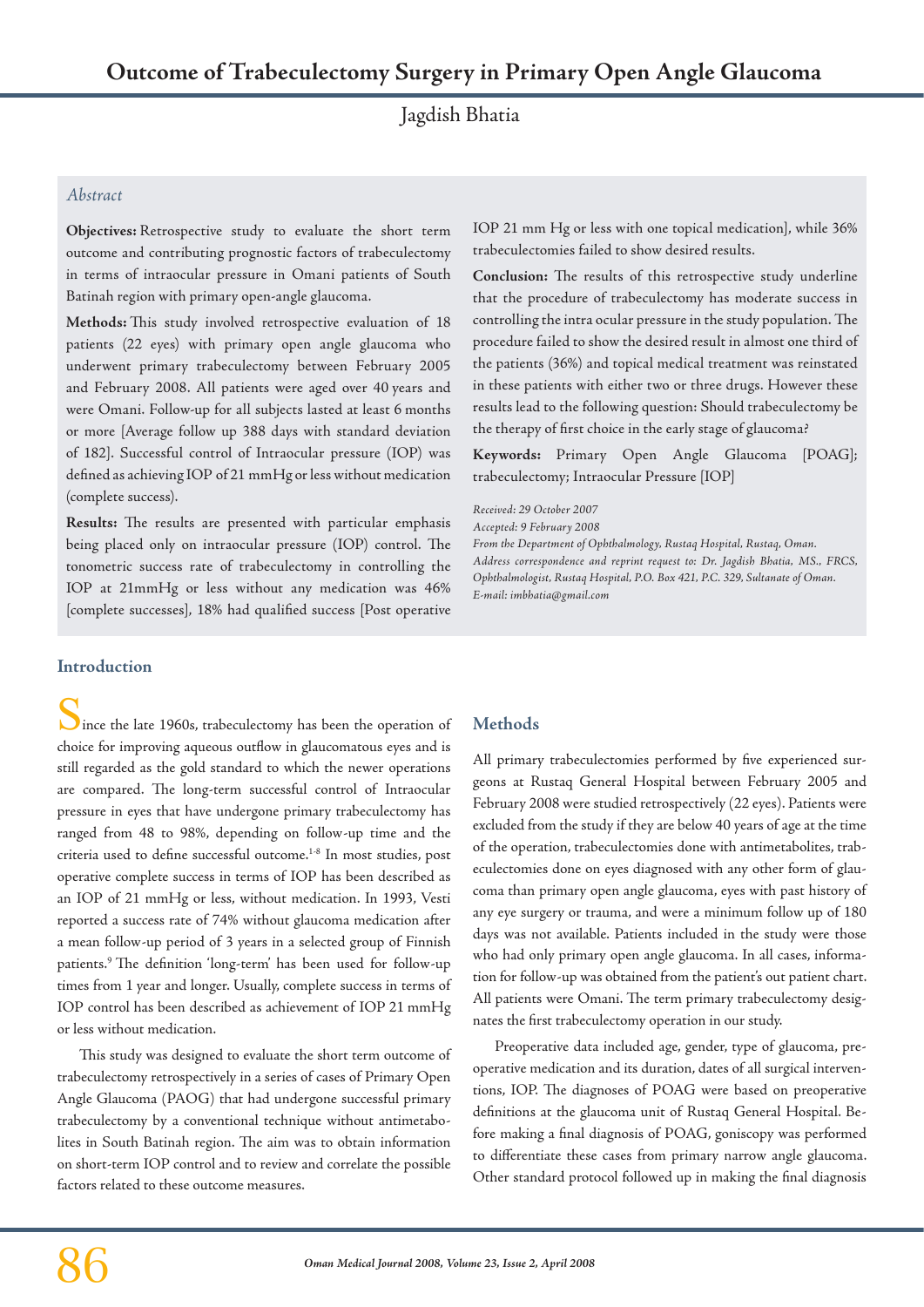Jagdish Bhatia

## *Abstract*

**Objectives:** Retrospective study to evaluate the short term outcome and contributing prognostic factors of trabeculectomy in terms of intraocular pressure in Omani patients of South Batinah region with primary open-angle glaucoma.

**Methods:** This study involved retrospective evaluation of 18 patients (22 eyes) with primary open angle glaucoma who underwent primary trabeculectomy between February 2005 and February 2008. All patients were aged over 40 years and were Omani. Follow-up for all subjects lasted at least 6 months or more [Average follow up 388 days with standard deviation of 182]. Successful control of Intraocular pressure (IOP) was defined as achieving IOP of 21 mmHg or less without medication (complete success).

**Results:** The results are presented with particular emphasis being placed only on intraocular pressure (IOP) control. The tonometric success rate of trabeculectomy in controlling the IOP at 21mmHg or less without any medication was 46% [complete successes], 18% had qualified success [Post operative IOP 21 mm Hg or less with one topical medication], while 36% trabeculectomies failed to show desired results.

**Conclusion:** The results of this retrospective study underline that the procedure of trabeculectomy has moderate success in controlling the intra ocular pressure in the study population. The procedure failed to show the desired result in almost one third of the patients (36%) and topical medical treatment was reinstated in these patients with either two or three drugs. However these results lead to the following question: Should trabeculectomy be the therapy of first choice in the early stage of glaucoma?

**Keywords:** Primary Open Angle Glaucoma [POAG]; trabeculectomy; Intraocular Pressure [IOP]

*Received: 29 October 2007*

*Accepted: 9 February 2008*

*From the Department of Ophthalmology, Rustaq Hospital, Rustaq, Oman. Address correspondence and reprint request to: Dr. Jagdish Bhatia, MS., FRCS, Ophthalmologist, Rustaq Hospital, P.O. Box 421, P.C. 329, Sultanate of Oman. E-mail: imbhatia@gmail.com*

### **Introduction**

Ince the late 1960s, trabeculectomy has been the operation of choice for improving aqueous outflow in glaucomatous eyes and is still regarded as the gold standard to which the newer operations are compared. The long-term successful control of Intraocular pressure in eyes that have undergone primary trabeculectomy has ranged from 48 to 98%, depending on follow-up time and the criteria used to define successful outcome.1-8 In most studies, post operative complete success in terms of IOP has been described as an IOP of 21 mmHg or less, without medication. In 1993, Vesti reported a success rate of 74% without glaucoma medication after a mean follow-up period of 3 years in a selected group of Finnish patients.9 The definition 'long-term' has been used for follow-up times from 1 year and longer. Usually, complete success in terms of IOP control has been described as achievement of IOP 21 mmHg or less without medication.

This study was designed to evaluate the short term outcome of trabeculectomy retrospectively in a series of cases of Primary Open Angle Glaucoma (PAOG) that had undergone successful primary trabeculectomy by a conventional technique without antimetabolites in South Batinah region. The aim was to obtain information on short-term IOP control and to review and correlate the possible factors related to these outcome measures.

# **Methods**

All primary trabeculectomies performed by five experienced surgeons at Rustaq General Hospital between February 2005 and February 2008 were studied retrospectively (22 eyes). Patients were excluded from the study if they are below 40 years of age at the time of the operation, trabeculectomies done with antimetabolites, trabeculectomies done on eyes diagnosed with any other form of glaucoma than primary open angle glaucoma, eyes with past history of any eye surgery or trauma, and were a minimum follow up of 180 days was not available. Patients included in the study were those who had only primary open angle glaucoma. In all cases, information for follow-up was obtained from the patient's out patient chart. All patients were Omani. The term primary trabeculectomy designates the first trabeculectomy operation in our study.

Preoperative data included age, gender, type of glaucoma, preoperative medication and its duration, dates of all surgical interventions, IOP. The diagnoses of POAG were based on preoperative definitions at the glaucoma unit of Rustaq General Hospital. Before making a final diagnosis of POAG, goniscopy was performed to differentiate these cases from primary narrow angle glaucoma. Other standard protocol followed up in making the final diagnosis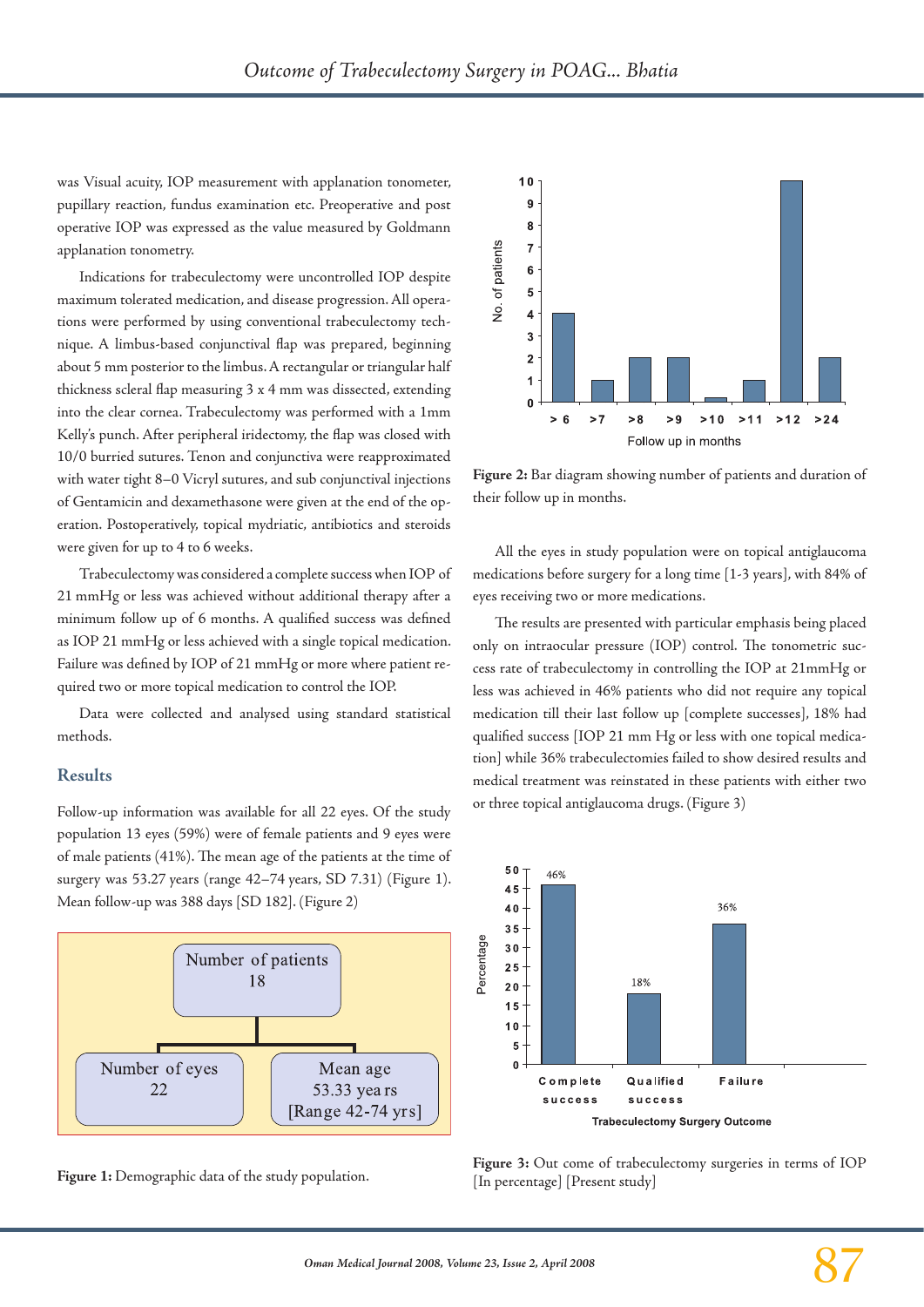was Visual acuity, IOP measurement with applanation tonometer, pupillary reaction, fundus examination etc. Preoperative and post operative IOP was expressed as the value measured by Goldmann applanation tonometry.

Indications for trabeculectomy were uncontrolled IOP despite maximum tolerated medication, and disease progression. All operations were performed by using conventional trabeculectomy technique. A limbus-based conjunctival flap was prepared, beginning about 5 mm posterior to the limbus. A rectangular or triangular half thickness scleral flap measuring 3 x 4 mm was dissected, extending into the clear cornea. Trabeculectomy was performed with a 1mm Kelly's punch. After peripheral iridectomy, the flap was closed with 10/0 burried sutures. Tenon and conjunctiva were reapproximated with water tight 8–0 Vicryl sutures, and sub conjunctival injections of Gentamicin and dexamethasone were given at the end of the operation. Postoperatively, topical mydriatic, antibiotics and steroids were given for up to 4 to 6 weeks.

Trabeculectomy was considered a complete success when IOP of 21 mmHg or less was achieved without additional therapy after a minimum follow up of 6 months. A qualified success was defined as IOP 21 mmHg or less achieved with a single topical medication. Failure was defined by IOP of 21 mmHg or more where patient required two or more topical medication to control the IOP.

Data were collected and analysed using standard statistical methods.

#### **Results**

Follow-up information was available for all 22 eyes. Of the study population 13 eyes (59%) were of female patients and 9 eyes were of male patients (41%). The mean age of the patients at the time of surgery was 53.27 years (range 42–74 years, SD 7.31) (Figure 1). Mean follow-up was 388 days [SD 182]. (Figure 2)



**Figure 1:** Demographic data of the study population.



**Figure 2:** Bar diagram showing number of patients and duration of their follow up in months.

All the eyes in study population were on topical antiglaucoma medications before surgery for a long time [1-3 years], with 84% of eyes receiving two or more medications.

The results are presented with particular emphasis being placed only on intraocular pressure (IOP) control. The tonometric success rate of trabeculectomy in controlling the IOP at 21mmHg or less was achieved in 46% patients who did not require any topical medication till their last follow up [complete successes], 18% had qualified success [IOP 21 mm Hg or less with one topical medication] while 36% trabeculectomies failed to show desired results and medical treatment was reinstated in these patients with either two or three topical antiglaucoma drugs. (Figure 3)



**Figure 3:** Out come of trabeculectomy surgeries in terms of IOP [In percentage] [Present study]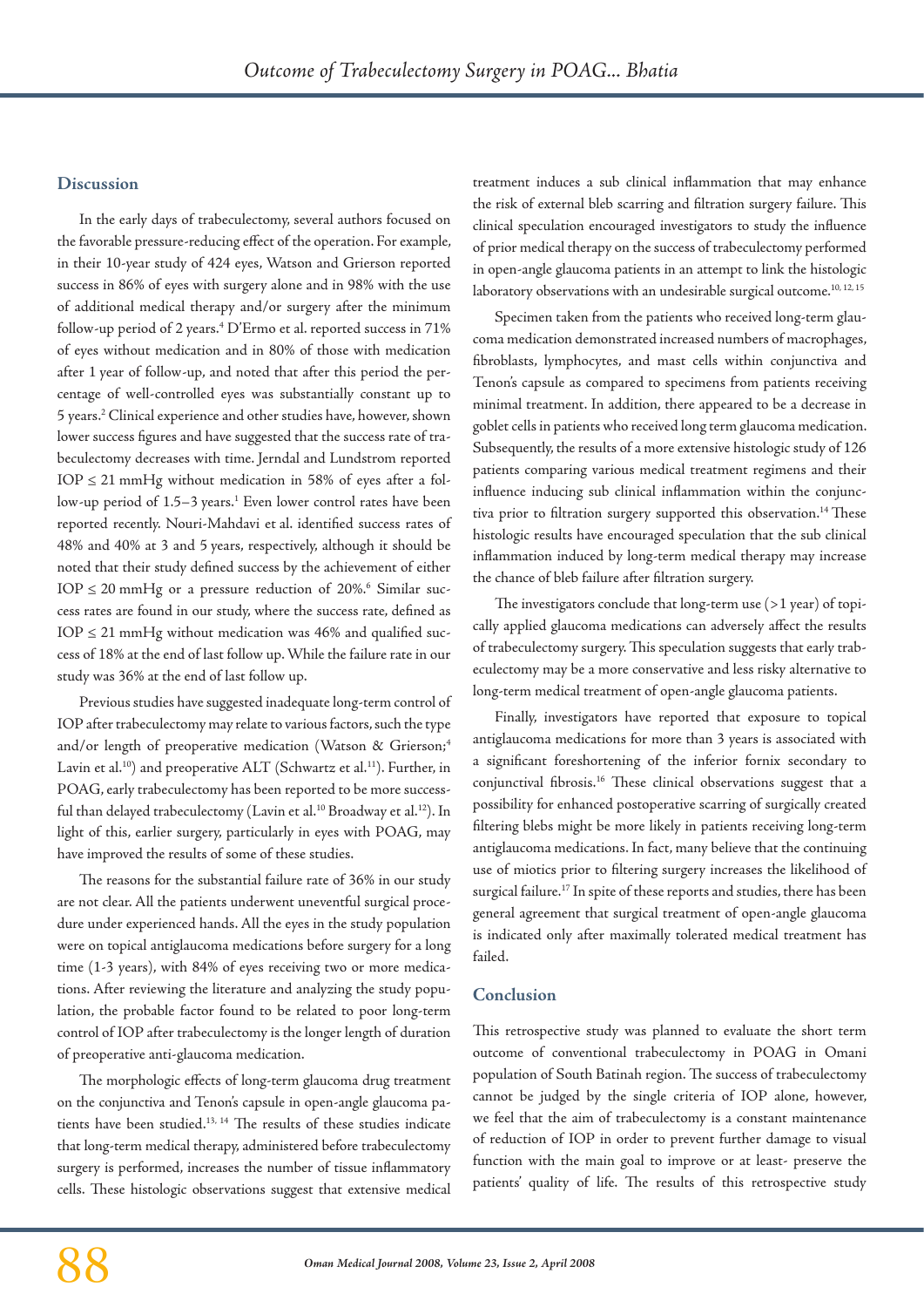#### **Discussion**

In the early days of trabeculectomy, several authors focused on the favorable pressure-reducing effect of the operation. For example, in their 10-year study of 424 eyes, Watson and Grierson reported success in 86% of eyes with surgery alone and in 98% with the use of additional medical therapy and/or surgery after the minimum follow-up period of 2 years.4 D'Ermo et al. reported success in 71% of eyes without medication and in 80% of those with medication after 1 year of follow-up, and noted that after this period the percentage of well-controlled eyes was substantially constant up to 5 years.2 Clinical experience and other studies have, however, shown lower success figures and have suggested that the success rate of trabeculectomy decreases with time. Jerndal and Lundstrom reported  $IOP \leq 21$  mmHg without medication in 58% of eyes after a follow-up period of 1.5–3 years.<sup>1</sup> Even lower control rates have been reported recently. Nouri-Mahdavi et al. identified success rates of 48% and 40% at 3 and 5 years, respectively, although it should be noted that their study defined success by the achievement of either  $\text{IOP} \leq 20 \text{ mmHg}$  or a pressure reduction of 20%.<sup>6</sup> Similar success rates are found in our study, where the success rate, defined as  $IOP \leq 21$  mmHg without medication was 46% and qualified success of 18% at the end of last follow up. While the failure rate in our study was 36% at the end of last follow up.

Previous studies have suggested inadequate long-term control of IOP after trabeculectomy may relate to various factors, such the type and/or length of preoperative medication (Watson & Grierson;<sup>4</sup> Lavin et al.<sup>10</sup>) and preoperative ALT (Schwartz et al.<sup>11</sup>). Further, in POAG, early trabeculectomy has been reported to be more successful than delayed trabeculectomy (Lavin et al.<sup>10</sup> Broadway et al.<sup>12</sup>). In light of this, earlier surgery, particularly in eyes with POAG, may have improved the results of some of these studies.

The reasons for the substantial failure rate of 36% in our study are not clear. All the patients underwent uneventful surgical procedure under experienced hands. All the eyes in the study population were on topical antiglaucoma medications before surgery for a long time (1-3 years), with 84% of eyes receiving two or more medications. After reviewing the literature and analyzing the study population, the probable factor found to be related to poor long-term control of IOP after trabeculectomy is the longer length of duration of preoperative anti-glaucoma medication.

The morphologic effects of long-term glaucoma drug treatment on the conjunctiva and Tenon's capsule in open-angle glaucoma patients have been studied.<sup>13, 14</sup> The results of these studies indicate that long-term medical therapy, administered before trabeculectomy surgery is performed, increases the number of tissue inflammatory cells. These histologic observations suggest that extensive medical treatment induces a sub clinical inflammation that may enhance the risk of external bleb scarring and filtration surgery failure. This clinical speculation encouraged investigators to study the influence of prior medical therapy on the success of trabeculectomy performed in open-angle glaucoma patients in an attempt to link the histologic laboratory observations with an undesirable surgical outcome.<sup>10, 12, 15</sup>

Specimen taken from the patients who received long-term glaucoma medication demonstrated increased numbers of macrophages, fibroblasts, lymphocytes, and mast cells within conjunctiva and Tenon's capsule as compared to specimens from patients receiving minimal treatment. In addition, there appeared to be a decrease in goblet cells in patients who received long term glaucoma medication. Subsequently, the results of a more extensive histologic study of 126 patients comparing various medical treatment regimens and their influence inducing sub clinical inflammation within the conjunctiva prior to filtration surgery supported this observation.<sup>14</sup> These histologic results have encouraged speculation that the sub clinical inflammation induced by long-term medical therapy may increase the chance of bleb failure after filtration surgery.

The investigators conclude that long-term use  $(>1$  year) of topically applied glaucoma medications can adversely affect the results of trabeculectomy surgery. This speculation suggests that early trabeculectomy may be a more conservative and less risky alternative to long-term medical treatment of open-angle glaucoma patients.

Finally, investigators have reported that exposure to topical antiglaucoma medications for more than 3 years is associated with a significant foreshortening of the inferior fornix secondary to conjunctival fibrosis.16 These clinical observations suggest that a possibility for enhanced postoperative scarring of surgically created filtering blebs might be more likely in patients receiving long-term antiglaucoma medications. In fact, many believe that the continuing use of miotics prior to filtering surgery increases the likelihood of surgical failure.<sup>17</sup> In spite of these reports and studies, there has been general agreement that surgical treatment of open-angle glaucoma is indicated only after maximally tolerated medical treatment has failed.

#### **Conclusion**

This retrospective study was planned to evaluate the short term outcome of conventional trabeculectomy in POAG in Omani population of South Batinah region. The success of trabeculectomy cannot be judged by the single criteria of IOP alone, however, we feel that the aim of trabeculectomy is a constant maintenance of reduction of IOP in order to prevent further damage to visual function with the main goal to improve or at least- preserve the patients' quality of life. The results of this retrospective study